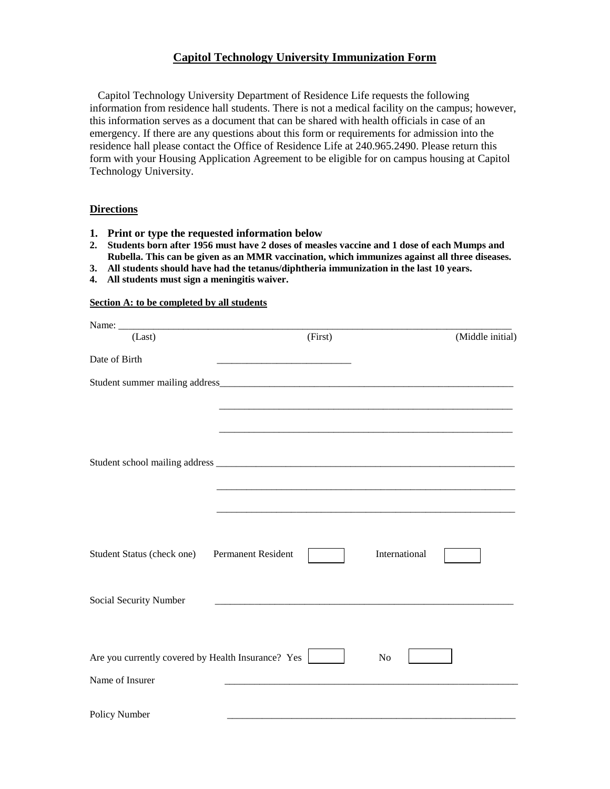# **Capitol Technology University Immunization Form**

 Capitol Technology University Department of Residence Life requests the following information from residence hall students. There is not a medical facility on the campus; however, this information serves as a document that can be shared with health officials in case of an emergency. If there are any questions about this form or requirements for admission into the residence hall please contact the Office of Residence Life at 240.965.2490. Please return this form with your Housing Application Agreement to be eligible for on campus housing at Capitol Technology University.

## **Directions**

- **1. Print or type the requested information below**
- **2. Students born after 1956 must have 2 doses of measles vaccine and 1 dose of each Mumps and Rubella. This can be given as an MMR vaccination, which immunizes against all three diseases.**
- **3. All students should have had the tetanus/diphtheria immunization in the last 10 years.**
- **4. All students must sign a meningitis waiver.**

#### **Section A: to be completed by all students**

| (Last)                                             | (First)                   |               | (Middle initial) |
|----------------------------------------------------|---------------------------|---------------|------------------|
| Date of Birth                                      |                           |               |                  |
|                                                    |                           |               |                  |
|                                                    |                           |               |                  |
|                                                    |                           |               |                  |
|                                                    |                           |               |                  |
|                                                    |                           |               |                  |
|                                                    |                           |               |                  |
|                                                    |                           |               |                  |
|                                                    |                           |               |                  |
| Student Status (check one)                         | <b>Permanent Resident</b> | International |                  |
|                                                    |                           |               |                  |
| Social Security Number                             |                           |               |                  |
|                                                    |                           |               |                  |
|                                                    |                           |               |                  |
| Are you currently covered by Health Insurance? Yes |                           | No            |                  |
| Name of Insurer                                    |                           |               |                  |
| Policy Number                                      |                           |               |                  |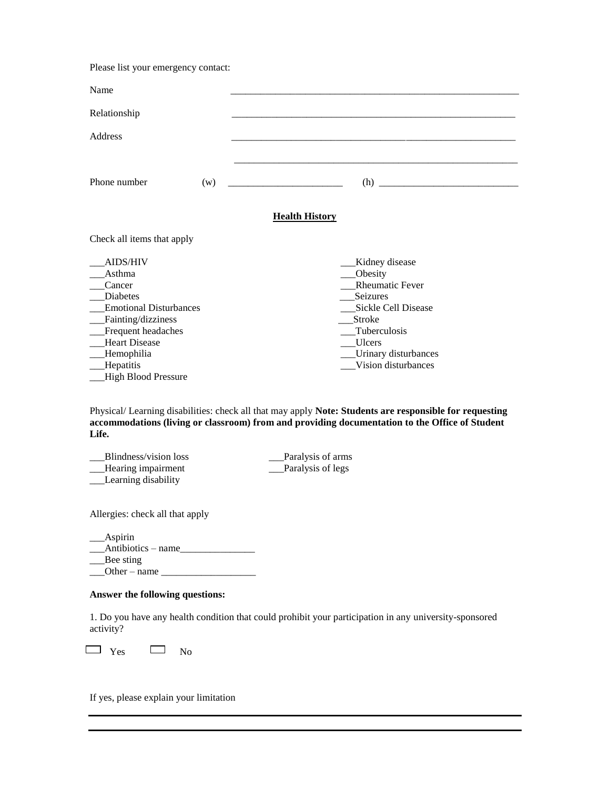Please list your emergency contact:

| Name                                                                                                                                                                                                   |     |                                                                                                                                                                                                          |
|--------------------------------------------------------------------------------------------------------------------------------------------------------------------------------------------------------|-----|----------------------------------------------------------------------------------------------------------------------------------------------------------------------------------------------------------|
| Relationship                                                                                                                                                                                           |     |                                                                                                                                                                                                          |
| Address                                                                                                                                                                                                |     |                                                                                                                                                                                                          |
| Phone number                                                                                                                                                                                           | (w) |                                                                                                                                                                                                          |
|                                                                                                                                                                                                        |     | <b>Health History</b>                                                                                                                                                                                    |
| Check all items that apply                                                                                                                                                                             |     |                                                                                                                                                                                                          |
| AIDS/HIV<br>Asthma<br>Cancer<br><b>Diabetes</b><br><b>Emotional Disturbances</b><br>Fainting/dizziness<br>Frequent headaches<br><b>Heart Disease</b><br>Hemophilia<br>Hepatitis<br>High Blood Pressure |     | Kidney disease<br>Obesity<br><b>Rheumatic Fever</b><br><b>Seizures</b><br>Sickle Cell Disease<br>Stroke<br>Tuberculosis<br><b>Ulcers</b><br>_Urinary disturbances<br>Vision disturbances                 |
|                                                                                                                                                                                                        |     | Physical/Learning disabilities: check all that may apply Note: Students are responsible for requesting<br>accommodations (living or classroom) from and providing documentation to the Office of Student |

**Life.**

\_\_\_Blindness/vision loss \_\_\_Paralysis of arms \_\_\_Hearing impairment \_\_\_Paralysis of legs \_\_\_Learning disability

Allergies: check all that apply

| Aspirin            |  |
|--------------------|--|
| Antibiotics – name |  |
| Bee sting          |  |
| Other $-$ name     |  |

#### **Answer the following questions:**

1. Do you have any health condition that could prohibit your participation in any university-sponsored activity?

 $\Box$  Yes  $\Box$  No

If yes, please explain your limitation